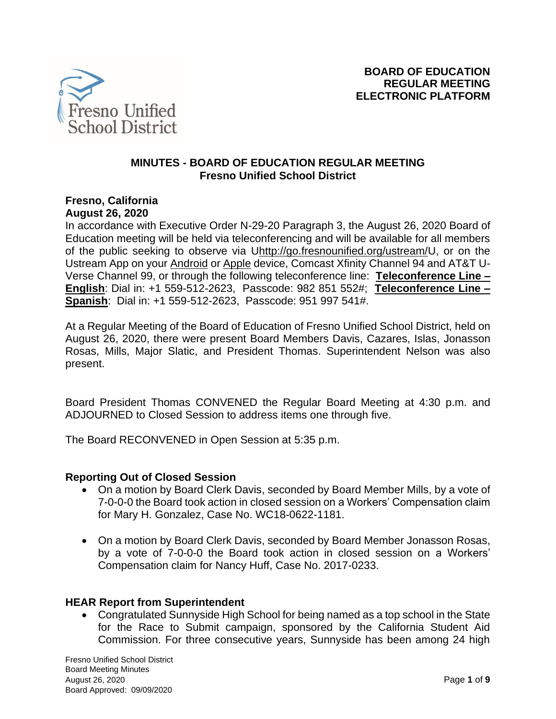

## **MINUTES - BOARD OF EDUCATION REGULAR MEETING Fresno Unified School District**

### **Fresno, California August 26, 2020**

In accordance with Executive Order N-29-20 Paragraph 3, the August 26, 2020 Board of Education meeting will be held via teleconferencing and will be available for all members of the public seeking to observe via [Uhttp://go.fresnounified.org/ustream/U](http://go.fresnounified.org/ustream/), or on the Ustream App on your [Android](https://play.google.com/store/apps/details?id=tv.ustream.ustream&hl=en_US) or [Apple](https://itunes.apple.com/us/app/ustream/id301520250?mt=8) device, Comcast Xfinity Channel 94 and AT&T U-Verse Channel 99, or through the following teleconference line: **Teleconference Line – English**: Dial in: +1 559-512-2623, Passcode: 982 851 552#; **Teleconference Line – Spanish**: Dial in: +1 559-512-2623, Passcode: 951 997 541#.

At a Regular Meeting of the Board of Education of Fresno Unified School District, held on August 26, 2020, there were present Board Members Davis, Cazares, Islas, Jonasson Rosas, Mills, Major Slatic, and President Thomas. Superintendent Nelson was also present.

Board President Thomas CONVENED the Regular Board Meeting at 4:30 p.m. and ADJOURNED to Closed Session to address items one through five.

The Board RECONVENED in Open Session at 5:35 p.m.

## **Reporting Out of Closed Session**

- On a motion by Board Clerk Davis, seconded by Board Member Mills, by a vote of 7-0-0-0 the Board took action in closed session on a Workers' Compensation claim for Mary H. Gonzalez, Case No. WC18-0622-1181.
- On a motion by Board Clerk Davis, seconded by Board Member Jonasson Rosas, by a vote of 7-0-0-0 the Board took action in closed session on a Workers' Compensation claim for Nancy Huff, Case No. 2017-0233.

### **HEAR Report from Superintendent**

• Congratulated Sunnyside High School for being named as a top school in the State for the Race to Submit campaign, sponsored by the California Student Aid Commission. For three consecutive years, Sunnyside has been among 24 high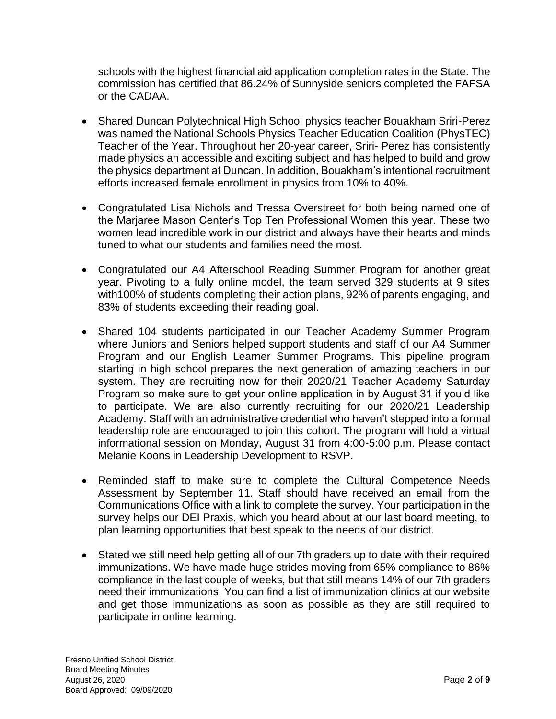schools with the highest financial aid application completion rates in the State. The commission has certified that 86.24% of Sunnyside seniors completed the FAFSA or the CADAA.

- Shared Duncan Polytechnical High School physics teacher Bouakham Sriri-Perez was named the National Schools Physics Teacher Education Coalition (PhysTEC) Teacher of the Year. Throughout her 20-year career, Sriri- Perez has consistently made physics an accessible and exciting subject and has helped to build and grow the physics department at Duncan. In addition, Bouakham's intentional recruitment efforts increased female enrollment in physics from 10% to 40%.
- Congratulated Lisa Nichols and Tressa Overstreet for both being named one of the Marjaree Mason Center's Top Ten Professional Women this year. These two women lead incredible work in our district and always have their hearts and minds tuned to what our students and families need the most.
- Congratulated our A4 Afterschool Reading Summer Program for another great year. Pivoting to a fully online model, the team served 329 students at 9 sites with100% of students completing their action plans, 92% of parents engaging, and 83% of students exceeding their reading goal.
- Shared 104 students participated in our Teacher Academy Summer Program where Juniors and Seniors helped support students and staff of our A4 Summer Program and our English Learner Summer Programs. This pipeline program starting in high school prepares the next generation of amazing teachers in our system. They are recruiting now for their 2020/21 Teacher Academy Saturday Program so make sure to get your online application in by August 31 if you'd like to participate. We are also currently recruiting for our 2020/21 Leadership Academy. Staff with an administrative credential who haven't stepped into a formal leadership role are encouraged to join this cohort. The program will hold a virtual informational session on Monday, August 31 from 4:00-5:00 p.m. Please contact Melanie Koons in Leadership Development to RSVP.
- Reminded staff to make sure to complete the Cultural Competence Needs Assessment by September 11. Staff should have received an email from the Communications Office with a link to complete the survey. Your participation in the survey helps our DEI Praxis, which you heard about at our last board meeting, to plan learning opportunities that best speak to the needs of our district.
- Stated we still need help getting all of our 7th graders up to date with their required immunizations. We have made huge strides moving from 65% compliance to 86% compliance in the last couple of weeks, but that still means 14% of our 7th graders need their immunizations. You can find a list of immunization clinics at our website and get those immunizations as soon as possible as they are still required to participate in online learning.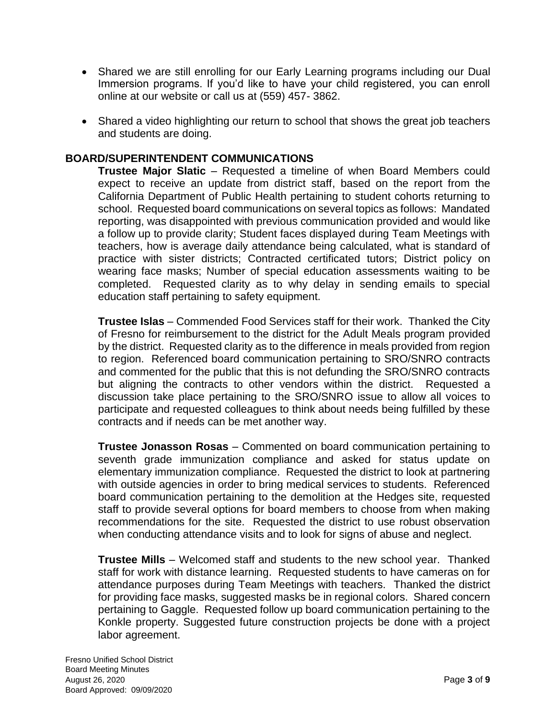- Shared we are still enrolling for our Early Learning programs including our Dual Immersion programs. If you'd like to have your child registered, you can enroll online at our website or call us at (559) 457- 3862.
- Shared a video highlighting our return to school that shows the great job teachers and students are doing.

## **BOARD/SUPERINTENDENT COMMUNICATIONS**

**Trustee Major Slatic** – Requested a timeline of when Board Members could expect to receive an update from district staff, based on the report from the California Department of Public Health pertaining to student cohorts returning to school. Requested board communications on several topics as follows: Mandated reporting, was disappointed with previous communication provided and would like a follow up to provide clarity; Student faces displayed during Team Meetings with teachers, how is average daily attendance being calculated, what is standard of practice with sister districts; Contracted certificated tutors; District policy on wearing face masks; Number of special education assessments waiting to be completed. Requested clarity as to why delay in sending emails to special education staff pertaining to safety equipment.

**Trustee Islas** – Commended Food Services staff for their work. Thanked the City of Fresno for reimbursement to the district for the Adult Meals program provided by the district. Requested clarity as to the difference in meals provided from region to region. Referenced board communication pertaining to SRO/SNRO contracts and commented for the public that this is not defunding the SRO/SNRO contracts but aligning the contracts to other vendors within the district. Requested a discussion take place pertaining to the SRO/SNRO issue to allow all voices to participate and requested colleagues to think about needs being fulfilled by these contracts and if needs can be met another way.

**Trustee Jonasson Rosas** – Commented on board communication pertaining to seventh grade immunization compliance and asked for status update on elementary immunization compliance. Requested the district to look at partnering with outside agencies in order to bring medical services to students. Referenced board communication pertaining to the demolition at the Hedges site, requested staff to provide several options for board members to choose from when making recommendations for the site. Requested the district to use robust observation when conducting attendance visits and to look for signs of abuse and neglect.

**Trustee Mills** – Welcomed staff and students to the new school year. Thanked staff for work with distance learning. Requested students to have cameras on for attendance purposes during Team Meetings with teachers. Thanked the district for providing face masks, suggested masks be in regional colors. Shared concern pertaining to Gaggle. Requested follow up board communication pertaining to the Konkle property. Suggested future construction projects be done with a project labor agreement.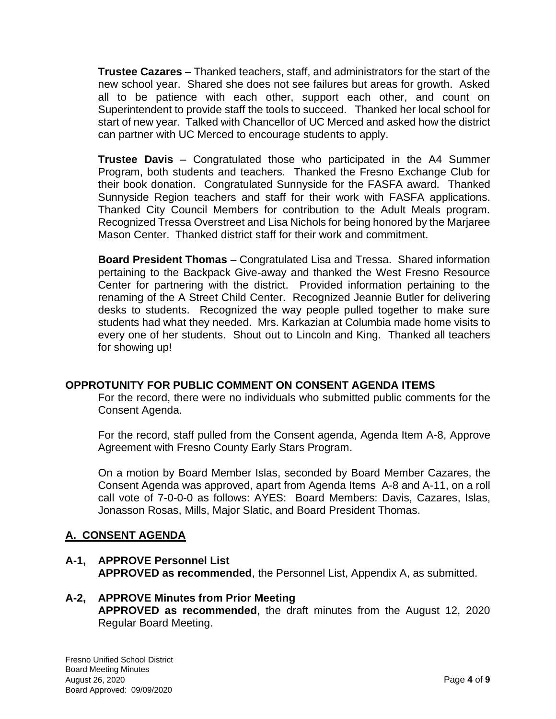**Trustee Cazares** – Thanked teachers, staff, and administrators for the start of the new school year. Shared she does not see failures but areas for growth. Asked all to be patience with each other, support each other, and count on Superintendent to provide staff the tools to succeed. Thanked her local school for start of new year. Talked with Chancellor of UC Merced and asked how the district can partner with UC Merced to encourage students to apply.

**Trustee Davis** – Congratulated those who participated in the A4 Summer Program, both students and teachers. Thanked the Fresno Exchange Club for their book donation. Congratulated Sunnyside for the FASFA award. Thanked Sunnyside Region teachers and staff for their work with FASFA applications. Thanked City Council Members for contribution to the Adult Meals program. Recognized Tressa Overstreet and Lisa Nichols for being honored by the Marjaree Mason Center. Thanked district staff for their work and commitment.

**Board President Thomas** – Congratulated Lisa and Tressa. Shared information pertaining to the Backpack Give-away and thanked the West Fresno Resource Center for partnering with the district. Provided information pertaining to the renaming of the A Street Child Center. Recognized Jeannie Butler for delivering desks to students. Recognized the way people pulled together to make sure students had what they needed. Mrs. Karkazian at Columbia made home visits to every one of her students. Shout out to Lincoln and King. Thanked all teachers for showing up!

# **OPPROTUNITY FOR PUBLIC COMMENT ON CONSENT AGENDA ITEMS**

For the record, there were no individuals who submitted public comments for the Consent Agenda.

For the record, staff pulled from the Consent agenda, Agenda Item A-8, Approve Agreement with Fresno County Early Stars Program.

On a motion by Board Member Islas, seconded by Board Member Cazares, the Consent Agenda was approved, apart from Agenda Items A-8 and A-11, on a roll call vote of 7-0-0-0 as follows: AYES: Board Members: Davis, Cazares, Islas, Jonasson Rosas, Mills, Major Slatic, and Board President Thomas.

# **A. CONSENT AGENDA**

**A-1, APPROVE Personnel List APPROVED as recommended**, the Personnel List, Appendix A, as submitted.

### **A-2, APPROVE Minutes from Prior Meeting APPROVED as recommended**, the draft minutes from the August 12, 2020 Regular Board Meeting.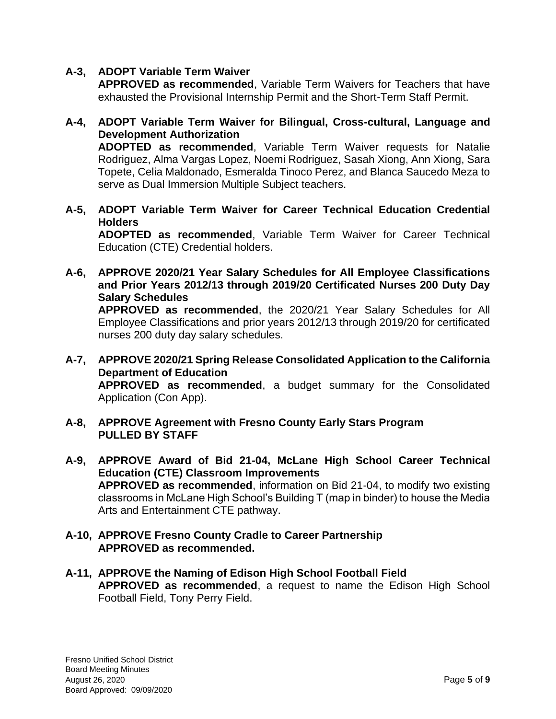# **A-3, ADOPT Variable Term Waiver**

**APPROVED as recommended**, Variable Term Waivers for Teachers that have exhausted the Provisional Internship Permit and the Short-Term Staff Permit.

**A-4, ADOPT Variable Term Waiver for Bilingual, Cross-cultural, Language and Development Authorization**

**ADOPTED as recommended**, Variable Term Waiver requests for Natalie Rodriguez, Alma Vargas Lopez, Noemi Rodriguez, Sasah Xiong, Ann Xiong, Sara Topete, Celia Maldonado, Esmeralda Tinoco Perez, and Blanca Saucedo Meza to serve as Dual Immersion Multiple Subject teachers.

**A-5, ADOPT Variable Term Waiver for Career Technical Education Credential Holders**

**ADOPTED as recommended**, Variable Term Waiver for Career Technical Education (CTE) Credential holders.

- **A-6, APPROVE 2020/21 Year Salary Schedules for All Employee Classifications and Prior Years 2012/13 through 2019/20 Certificated Nurses 200 Duty Day Salary Schedules APPROVED as recommended**, the 2020/21 Year Salary Schedules for All Employee Classifications and prior years 2012/13 through 2019/20 for certificated nurses 200 duty day salary schedules.
- **A-7, APPROVE 2020/21 Spring Release Consolidated Application to the California Department of Education APPROVED as recommended**, a budget summary for the Consolidated Application (Con App).
- **A-8, APPROVE Agreement with Fresno County Early Stars Program PULLED BY STAFF**
- **A-9, APPROVE Award of Bid 21-04, McLane High School Career Technical Education (CTE) Classroom Improvements APPROVED as recommended**, information on Bid 21-04, to modify two existing classrooms in McLane High School's Building T (map in binder) to house the Media Arts and Entertainment CTE pathway.

### **A-10, APPROVE Fresno County Cradle to Career Partnership APPROVED as recommended.**

**A-11, APPROVE the Naming of Edison High School Football Field APPROVED as recommended**, a request to name the Edison High School Football Field, Tony Perry Field.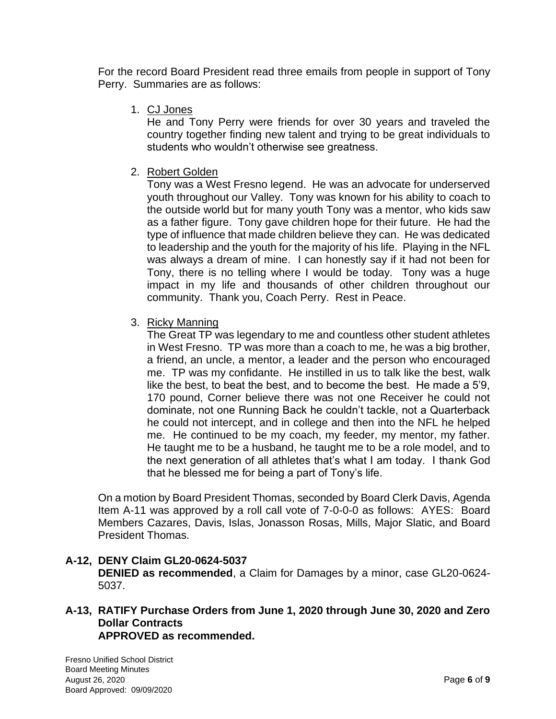For the record Board President read three emails from people in support of Tony Perry. Summaries are as follows:

1. CJ Jones

He and Tony Perry were friends for over 30 years and traveled the country together finding new talent and trying to be great individuals to students who wouldn't otherwise see greatness.

2. Robert Golden

Tony was a West Fresno legend. He was an advocate for underserved youth throughout our Valley. Tony was known for his ability to coach to the outside world but for many youth Tony was a mentor, who kids saw as a father figure. Tony gave children hope for their future. He had the type of influence that made children believe they can. He was dedicated to leadership and the youth for the majority of his life. Playing in the NFL was always a dream of mine. I can honestly say if it had not been for Tony, there is no telling where I would be today. Tony was a huge impact in my life and thousands of other children throughout our community. Thank you, Coach Perry. Rest in Peace.

3. Ricky Manning

The Great TP was legendary to me and countless other student athletes in West Fresno. TP was more than a coach to me, he was a big brother, a friend, an uncle, a mentor, a leader and the person who encouraged me. TP was my confidante. He instilled in us to talk like the best, walk like the best, to beat the best, and to become the best. He made a 5'9, 170 pound, Corner believe there was not one Receiver he could not dominate, not one Running Back he couldn't tackle, not a Quarterback he could not intercept, and in college and then into the NFL he helped me. He continued to be my coach, my feeder, my mentor, my father. He taught me to be a husband, he taught me to be a role model, and to the next generation of all athletes that's what I am today. I thank God that he blessed me for being a part of Tony's life.

On a motion by Board President Thomas, seconded by Board Clerk Davis, Agenda Item A-11 was approved by a roll call vote of 7-0-0-0 as follows: AYES: Board Members Cazares, Davis, Islas, Jonasson Rosas, Mills, Major Slatic, and Board President Thomas.

# **A-12, DENY Claim GL20-0624-5037 DENIED as recommended**, a Claim for Damages by a minor, case GL20-0624- 5037.

**A-13, RATIFY Purchase Orders from June 1, 2020 through June 30, 2020 and Zero Dollar Contracts APPROVED as recommended.**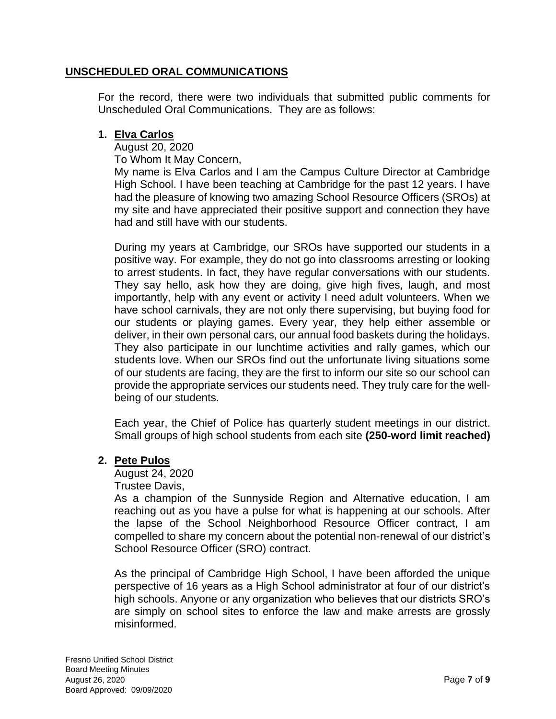## **UNSCHEDULED ORAL COMMUNICATIONS**

For the record, there were two individuals that submitted public comments for Unscheduled Oral Communications. They are as follows:

### **1. Elva Carlos**

August 20, 2020

To Whom It May Concern,

My name is Elva Carlos and I am the Campus Culture Director at Cambridge High School. I have been teaching at Cambridge for the past 12 years. I have had the pleasure of knowing two amazing School Resource Officers (SROs) at my site and have appreciated their positive support and connection they have had and still have with our students.

During my years at Cambridge, our SROs have supported our students in a positive way. For example, they do not go into classrooms arresting or looking to arrest students. In fact, they have regular conversations with our students. They say hello, ask how they are doing, give high fives, laugh, and most importantly, help with any event or activity I need adult volunteers. When we have school carnivals, they are not only there supervising, but buying food for our students or playing games. Every year, they help either assemble or deliver, in their own personal cars, our annual food baskets during the holidays. They also participate in our lunchtime activities and rally games, which our students love. When our SROs find out the unfortunate living situations some of our students are facing, they are the first to inform our site so our school can provide the appropriate services our students need. They truly care for the well‐ being of our students.

Each year, the Chief of Police has quarterly student meetings in our district. Small groups of high school students from each site **(250**‐**word limit reached)**

## **2. Pete Pulos**

August 24, 2020

Trustee Davis,

As a champion of the Sunnyside Region and Alternative education, I am reaching out as you have a pulse for what is happening at our schools. After the lapse of the School Neighborhood Resource Officer contract, I am compelled to share my concern about the potential non‐renewal of our district's School Resource Officer (SRO) contract.

As the principal of Cambridge High School, I have been afforded the unique perspective of 16 years as a High School administrator at four of our district's high schools. Anyone or any organization who believes that our districts SRO's are simply on school sites to enforce the law and make arrests are grossly misinformed.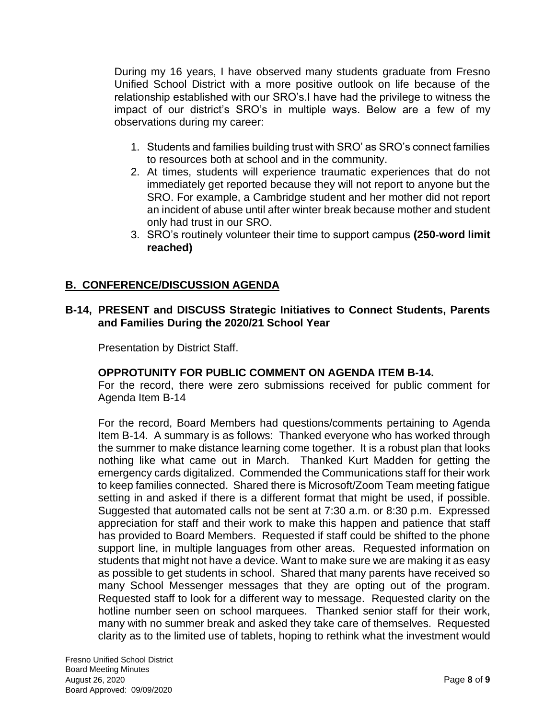During my 16 years, I have observed many students graduate from Fresno Unified School District with a more positive outlook on life because of the relationship established with our SRO's.I have had the privilege to witness the impact of our district's SRO's in multiple ways. Below are a few of my observations during my career:

- 1. Students and families building trust with SRO' as SRO's connect families to resources both at school and in the community.
- 2. At times, students will experience traumatic experiences that do not immediately get reported because they will not report to anyone but the SRO. For example, a Cambridge student and her mother did not report an incident of abuse until after winter break because mother and student only had trust in our SRO.
- 3. SRO's routinely volunteer their time to support campus **(250**‐**word limit reached)**

## **B. CONFERENCE/DISCUSSION AGENDA**

## **B-14, PRESENT and DISCUSS Strategic Initiatives to Connect Students, Parents and Families During the 2020/21 School Year**

Presentation by District Staff.

## **OPPROTUNITY FOR PUBLIC COMMENT ON AGENDA ITEM B-14.**

For the record, there were zero submissions received for public comment for Agenda Item B-14

For the record, Board Members had questions/comments pertaining to Agenda Item B-14. A summary is as follows: Thanked everyone who has worked through the summer to make distance learning come together. It is a robust plan that looks nothing like what came out in March. Thanked Kurt Madden for getting the emergency cards digitalized. Commended the Communications staff for their work to keep families connected. Shared there is Microsoft/Zoom Team meeting fatigue setting in and asked if there is a different format that might be used, if possible. Suggested that automated calls not be sent at 7:30 a.m. or 8:30 p.m. Expressed appreciation for staff and their work to make this happen and patience that staff has provided to Board Members. Requested if staff could be shifted to the phone support line, in multiple languages from other areas. Requested information on students that might not have a device. Want to make sure we are making it as easy as possible to get students in school. Shared that many parents have received so many School Messenger messages that they are opting out of the program. Requested staff to look for a different way to message. Requested clarity on the hotline number seen on school marquees. Thanked senior staff for their work, many with no summer break and asked they take care of themselves. Requested clarity as to the limited use of tablets, hoping to rethink what the investment would